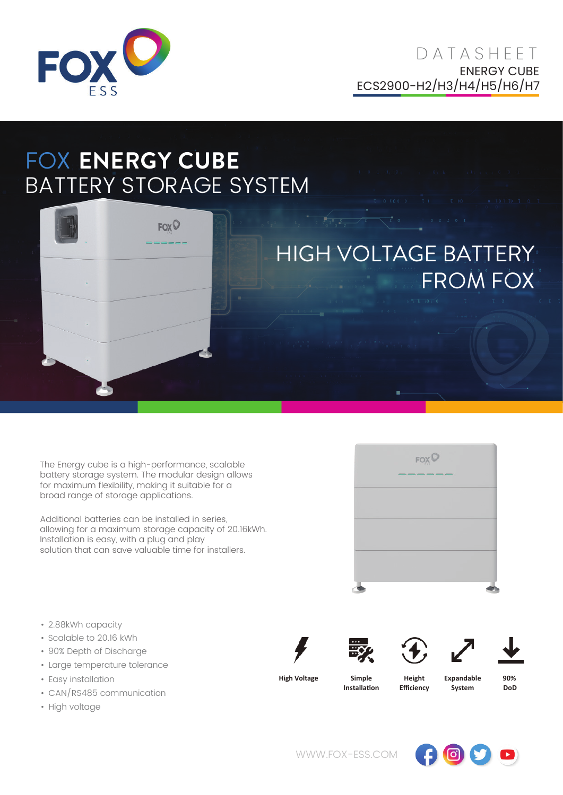

## FOX **ENERGY CUBE** BATTERY STORAGE SYSTEM



The Energy cube is a high-performance, scalable battery storage system. The modular design allows for maximum flexibility, making it suitable for a broad range of storage applications.

Additional batteries can be installed in series, allowing for a maximum storage capacity of 20.16kWh. Installation is easy, with a plug and play solution that can save valuable time for installers.

 $FOX$ 

- 2.88kWh capacity
- Scalable to 20.16 kWh
- 90% Depth of Discharge
- Large temperature tolerance
- Easy installation
- CAN/RS485 communication
- High voltage











**High Voltage Simple**

**Installa�on**

**Height Efficiency** **Expandable System**

**90% DoD**